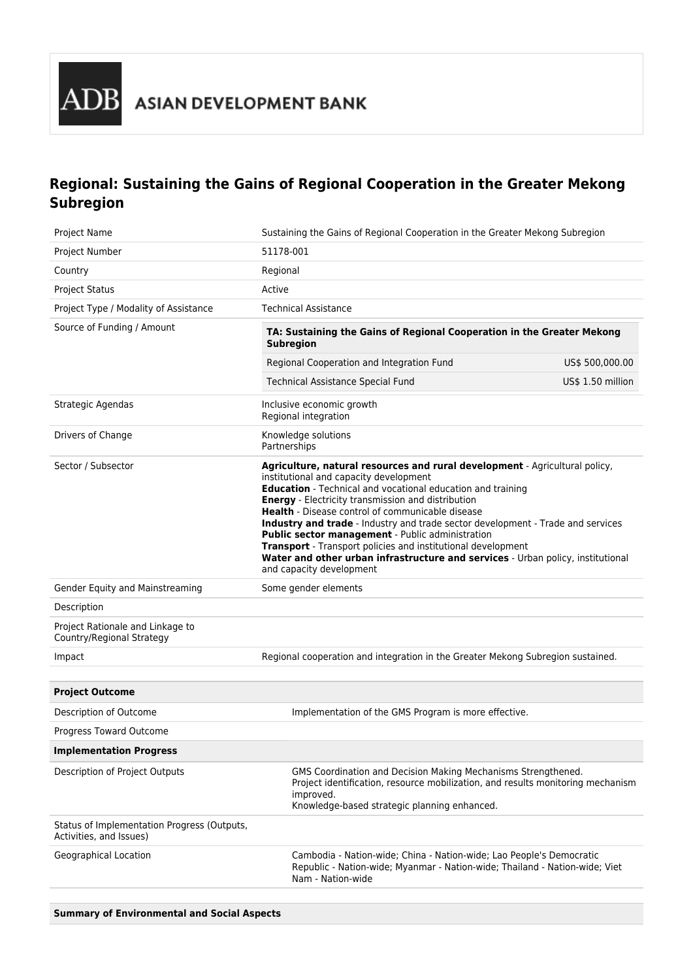

# **Regional: Sustaining the Gains of Regional Cooperation in the Greater Mekong Subregion**

| Project Name                                                           | Sustaining the Gains of Regional Cooperation in the Greater Mekong Subregion                                                                                                                                                                                                                                                                                                                                                                                                                                                                                                                                                |                   |
|------------------------------------------------------------------------|-----------------------------------------------------------------------------------------------------------------------------------------------------------------------------------------------------------------------------------------------------------------------------------------------------------------------------------------------------------------------------------------------------------------------------------------------------------------------------------------------------------------------------------------------------------------------------------------------------------------------------|-------------------|
| Project Number                                                         | 51178-001                                                                                                                                                                                                                                                                                                                                                                                                                                                                                                                                                                                                                   |                   |
| Country                                                                | Regional                                                                                                                                                                                                                                                                                                                                                                                                                                                                                                                                                                                                                    |                   |
| <b>Project Status</b>                                                  | Active                                                                                                                                                                                                                                                                                                                                                                                                                                                                                                                                                                                                                      |                   |
| Project Type / Modality of Assistance                                  | <b>Technical Assistance</b>                                                                                                                                                                                                                                                                                                                                                                                                                                                                                                                                                                                                 |                   |
| Source of Funding / Amount                                             | TA: Sustaining the Gains of Regional Cooperation in the Greater Mekong<br><b>Subregion</b>                                                                                                                                                                                                                                                                                                                                                                                                                                                                                                                                  |                   |
|                                                                        | Regional Cooperation and Integration Fund                                                                                                                                                                                                                                                                                                                                                                                                                                                                                                                                                                                   | US\$ 500,000.00   |
|                                                                        | <b>Technical Assistance Special Fund</b>                                                                                                                                                                                                                                                                                                                                                                                                                                                                                                                                                                                    | US\$ 1.50 million |
| Strategic Agendas                                                      | Inclusive economic growth<br>Regional integration                                                                                                                                                                                                                                                                                                                                                                                                                                                                                                                                                                           |                   |
| Drivers of Change                                                      | Knowledge solutions<br>Partnerships                                                                                                                                                                                                                                                                                                                                                                                                                                                                                                                                                                                         |                   |
| Sector / Subsector                                                     | Agriculture, natural resources and rural development - Agricultural policy,<br>institutional and capacity development<br>Education - Technical and vocational education and training<br><b>Energy</b> - Electricity transmission and distribution<br>Health - Disease control of communicable disease<br>Industry and trade - Industry and trade sector development - Trade and services<br>Public sector management - Public administration<br>Transport - Transport policies and institutional development<br>Water and other urban infrastructure and services - Urban policy, institutional<br>and capacity development |                   |
| Gender Equity and Mainstreaming                                        | Some gender elements                                                                                                                                                                                                                                                                                                                                                                                                                                                                                                                                                                                                        |                   |
| Description                                                            |                                                                                                                                                                                                                                                                                                                                                                                                                                                                                                                                                                                                                             |                   |
| Project Rationale and Linkage to<br>Country/Regional Strategy          |                                                                                                                                                                                                                                                                                                                                                                                                                                                                                                                                                                                                                             |                   |
| Impact                                                                 | Regional cooperation and integration in the Greater Mekong Subregion sustained.                                                                                                                                                                                                                                                                                                                                                                                                                                                                                                                                             |                   |
|                                                                        |                                                                                                                                                                                                                                                                                                                                                                                                                                                                                                                                                                                                                             |                   |
| <b>Project Outcome</b>                                                 |                                                                                                                                                                                                                                                                                                                                                                                                                                                                                                                                                                                                                             |                   |
| Description of Outcome                                                 | Implementation of the GMS Program is more effective.                                                                                                                                                                                                                                                                                                                                                                                                                                                                                                                                                                        |                   |
| Progress Toward Outcome                                                |                                                                                                                                                                                                                                                                                                                                                                                                                                                                                                                                                                                                                             |                   |
| <b>Implementation Progress</b>                                         |                                                                                                                                                                                                                                                                                                                                                                                                                                                                                                                                                                                                                             |                   |
| Description of Project Outputs                                         | GMS Coordination and Decision Making Mechanisms Strengthened.<br>Project identification, resource mobilization, and results monitoring mechanism<br>improved.<br>Knowledge-based strategic planning enhanced.                                                                                                                                                                                                                                                                                                                                                                                                               |                   |
| Status of Implementation Progress (Outputs,<br>Activities, and Issues) |                                                                                                                                                                                                                                                                                                                                                                                                                                                                                                                                                                                                                             |                   |
| Geographical Location                                                  | Cambodia - Nation-wide; China - Nation-wide; Lao People's Democratic<br>Republic - Nation-wide; Myanmar - Nation-wide; Thailand - Nation-wide; Viet<br>Nam - Nation-wide                                                                                                                                                                                                                                                                                                                                                                                                                                                    |                   |

**Summary of Environmental and Social Aspects**